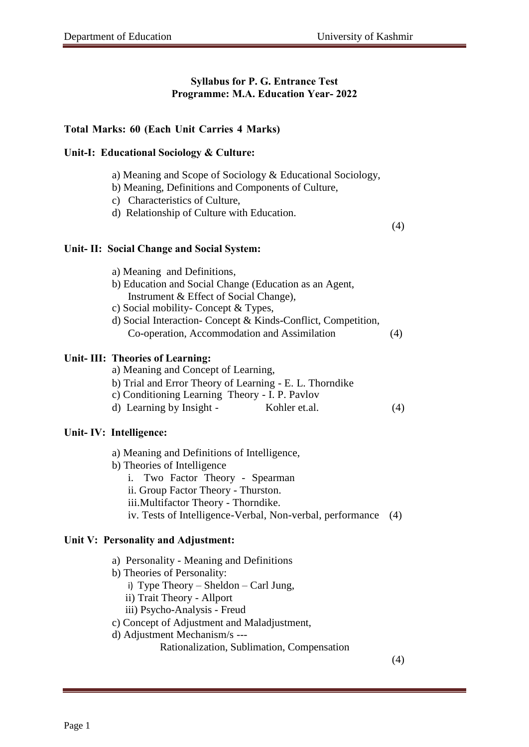# **Syllabus for P. G. Entrance Test Programme: M.A. Education Year- 2022**

# **Total Marks: 60 (Each Unit Carries 4 Marks)**

### **Unit-I: Educational Sociology & Culture:**

- a) Meaning and Scope of Sociology & Educational Sociology,
- b) Meaning, Definitions and Components of Culture,
- c) Characteristics of Culture,
- d) Relationship of Culture with Education.

(4)

#### **Unit- II: Social Change and Social System:**

| a) Meaning and Definitions,                            |
|--------------------------------------------------------|
| b) Education and Social Change (Education as an Agent, |
| Instrument & Effect of Social Change),                 |
| c) Social mobility- Concept & Types,                   |
| d) Social Interaction Concent & Kinds Conflict Compete |

d) Social Interaction- Concept & Kinds-Conflict, Competition, Co-operation, Accommodation and Assimilation (4)

## **Unit- III: Theories of Learning:**

- a) Meaning and Concept of Learning,
- b) Trial and Error Theory of Learning E. L. Thorndike
- c) Conditioning Learning Theory I. P. Pavlov
- d) Learning by Insight Kohler et.al. (4)

#### **Unit- IV: Intelligence:**

- a) Meaning and Definitions of Intelligence,
- b) Theories of Intelligence
	- i. Two Factor Theory Spearman
	- ii. Group Factor Theory Thurston.
	- iii.Multifactor Theory Thorndike.
	- iv. Tests of Intelligence-Verbal, Non-verbal, performance (4)

#### **Unit V: Personality and Adjustment:**

- a) Personality Meaning and Definitions
- b) Theories of Personality:
	- i) Type Theory Sheldon Carl Jung,
	- ii) Trait Theory Allport
	- iii) Psycho-Analysis Freud
- c) Concept of Adjustment and Maladjustment,
- d) Adjustment Mechanism/s ---

Rationalization, Sublimation, Compensation

(4)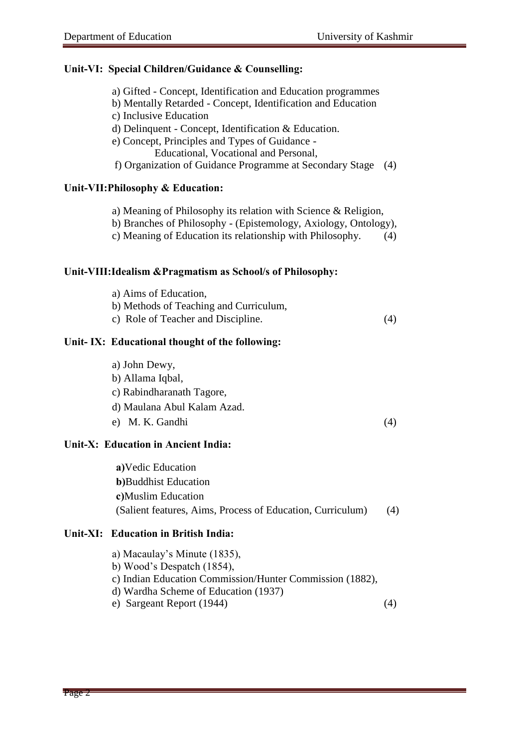### **Unit-VI: Special Children/Guidance & Counselling:**

- a) Gifted Concept, Identification and Education programmes
- b) Mentally Retarded Concept, Identification and Education
- c) Inclusive Education
- d) Delinquent Concept, Identification & Education.
- e) Concept, Principles and Types of Guidance
	- Educational, Vocational and Personal,
- f) Organization of Guidance Programme at Secondary Stage (4)

## **Unit-VII:Philosophy & Education:**

- a) Meaning of Philosophy its relation with Science & Religion,
- b) Branches of Philosophy (Epistemology, Axiology, Ontology),
- c) Meaning of Education its relationship with Philosophy. (4)

### **Unit-VIII:Idealism &Pragmatism as School/s of Philosophy:**

- a) Aims of Education,
- b) Methods of Teaching and Curriculum,
- c) Role of Teacher and Discipline. (4)

## **Unit- IX: Educational thought of the following:**

- a) John Dewy,
- b) Allama Iqbal,
- c) Rabindharanath Tagore,
- d) Maulana Abul Kalam Azad.
- e) M. K. Gandhi (4)

## **Unit-X: Education in Ancient India:**

**a)**Vedic Education **b)**Buddhist Education **c)**Muslim Education (Salient features, Aims, Process of Education, Curriculum) (4)

## **Unit-XI: Education in British India:**

- a) Macaulay's Minute (1835),
- b) Wood's Despatch (1854),
- c) Indian Education Commission/Hunter Commission (1882),
- d) Wardha Scheme of Education (1937)
- e) Sargeant Report (1944) (4)